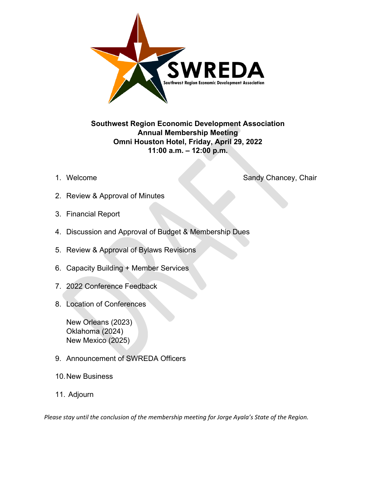

# **Southwest Region Economic Development Association Annual Membership Meeting Omni Houston Hotel, Friday, April 29, 2022 11:00 a.m. – 12:00 p.m.**

1. Welcome Sandy Chancey, Chair

- 2. Review & Approval of Minutes
- 3. Financial Report
- 4. Discussion and Approval of Budget & Membership Dues
- 5. Review & Approval of Bylaws Revisions
- 6. Capacity Building + Member Services
- 7. 2022 Conference Feedback
- 8. Location of Conferences

New Orleans (2023) Oklahoma (2024) New Mexico (2025)

- 9. Announcement of SWREDA Officers
- 10.New Business
- 11. Adjourn

*Please stay until the conclusion of the membership meeting for Jorge Ayala's State of the Region.*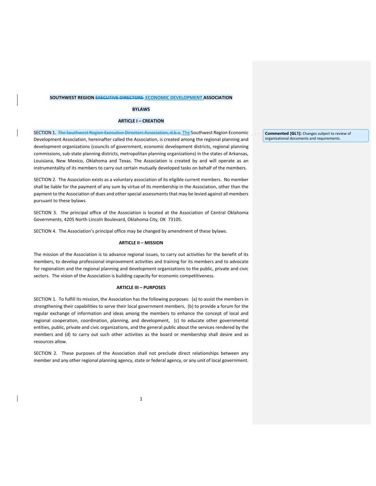# **SOUTHWEST REGION EXECUTIVE DIRECTORS ECONOMIC DEVELOPMENT ASSOCIATION**

#### **BYLAWS**

## **ARTICLE I – CREATION**

SECTION 1. The Southwest Region Executive Directors Association, d.b.a. The Southwest Region Economic Development Association, hereinafter called the Association, is created among the regional planning and development organizations (councils of government, economic development districts, regional planning commissions, sub‐state planning districts, metropolitan planning organizations) in the states of Arkansas, Louisiana, New Mexico, Oklahoma and Texas. The Association is created by and will operate as an instrumentality of its members to carry out certain mutually developed tasks on behalf of the members.

SECTION 2. The Association exists as a voluntary association of its eligible current members. No member shall be liable for the payment of any sum by virtue of its membership in the Association, other than the payment to the Association of dues and other special assessments that may be levied against all members pursuant to these bylaws.

SECTION 3. The principal office of the Association is located at the Association of Central Oklahoma Governments, 4205 North Lincoln Boulevard, Oklahoma City, OK 73105.

SECTION 4. The Association's principal office may be changed by amendment of these bylaws.

#### **ARTICLE II – MISSION**

The mission of the Association is to advance regional issues, to carry out activities for the benefit of its members, to develop professional improvement activities and training for its members and to advocate for regionalism and the regional planning and development organizations to the public, private and civic sectors. The vision of the Association is building capacity for economic competitiveness.

# **ARTICLE III – PURPOSES**

SECTION 1. To fulfill its mission, the Association has the following purposes: (a) to assist the members in strengthening their capabilities to serve their local government members, (b) to provide a forum for the regular exchange of information and ideas among the members to enhance the concept of local and regional cooperation, coordination, planning, and development, (c) to educate other governmental entities, public, private and civic organizations, and the general public about the services rendered by the members and (d) to carry out such other activities as the board or membership shall desire and as resources allow.

SECTION 2. These purposes of the Association shall not preclude direct relationships between any member and any other regional planning agency, state or federal agency, or any unit of local government. **Commented [GL1]:** Changes subject to review of organizational documents and requirements.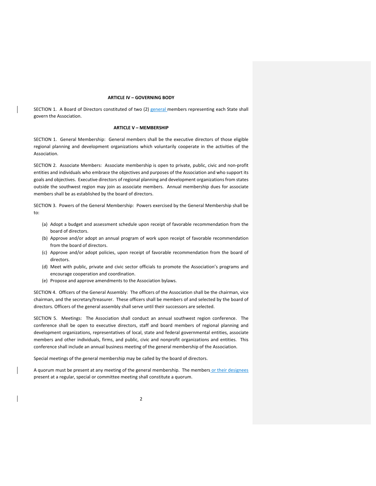## **ARTICLE IV – GOVERNING BODY**

SECTION 1. A Board of Directors constituted of two (2) general members representing each State shall govern the Association.

# **ARTICLE V – MEMBERSHIP**

SECTION 1. General Membership: General members shall be the executive directors of those eligible regional planning and development organizations which voluntarily cooperate in the activities of the Association.

SECTION 2. Associate Members: Associate membership is open to private, public, civic and non‐profit entities and individuals who embrace the objectives and purposes of the Association and who support its goals and objectives. Executive directors of regional planning and development organizations from states outside the southwest region may join as associate members. Annual membership dues for associate members shall be as established by the board of directors.

SECTION 3. Powers of the General Membership: Powers exercised by the General Membership shall be to:

- (a) Adopt a budget and assessment schedule upon receipt of favorable recommendation from the board of directors.
- (b) Approve and/or adopt an annual program of work upon receipt of favorable recommendation from the board of directors.
- (c) Approve and/or adopt policies, upon receipt of favorable recommendation from the board of directors.
- (d) Meet with public, private and civic sector officials to promote the Association's programs and encourage cooperation and coordination.
- (e) Propose and approve amendments to the Association bylaws.

SECTION 4. Officers of the General Assembly: The officers of the Association shall be the chairman, vice chairman, and the secretary/treasurer. These officers shall be members of and selected by the board of directors. Officers of the general assembly shall serve until their successors are selected.

SECTION 5. Meetings: The Association shall conduct an annual southwest region conference. The conference shall be open to executive directors, staff and board members of regional planning and development organizations, representatives of local, state and federal governmental entities, associate members and other individuals, firms, and public, civic and nonprofit organizations and entities. This conference shall include an annual business meeting of the general membership of the Association.

Special meetings of the general membership may be called by the board of directors.

A quorum must be present at any meeting of the general membership. The members or their designees present at a regular, special or committee meeting shall constitute a quorum.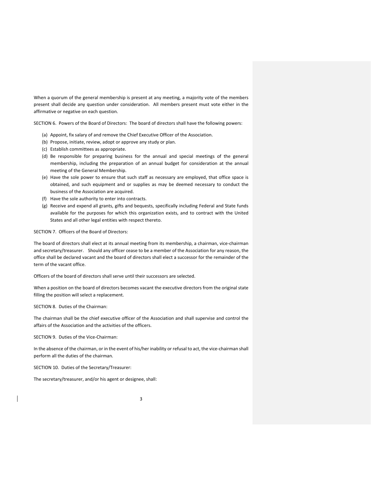When a quorum of the general membership is present at any meeting, a majority vote of the members present shall decide any question under consideration. All members present must vote either in the affirmative or negative on each question.

SECTION 6. Powers of the Board of Directors: The board of directors shall have the following powers:

- (a) Appoint, fix salary of and remove the Chief Executive Officer of the Association.
- (b) Propose, initiate, review, adopt or approve any study or plan.
- (c) Establish committees as appropriate.
- (d) Be responsible for preparing business for the annual and special meetings of the general membership, including the preparation of an annual budget for consideration at the annual meeting of the General Membership.
- (e) Have the sole power to ensure that such staff as necessary are employed, that office space is obtained, and such equipment and or supplies as may be deemed necessary to conduct the business of the Association are acquired.
- (f) Have the sole authority to enter into contracts.
- (g) Receive and expend all grants, gifts and bequests, specifically including Federal and State funds available for the purposes for which this organization exists, and to contract with the United States and all other legal entities with respect thereto.

SECTION 7. Officers of the Board of Directors:

The board of directors shall elect at its annual meeting from its membership, a chairman, vice-chairman and secretary/treasurer. Should any officer cease to be a member of the Association for any reason, the office shall be declared vacant and the board of directors shall elect a successor for the remainder of the term of the vacant office.

Officers of the board of directors shall serve until their successors are selected.

When a position on the board of directors becomes vacant the executive directors from the original state filling the position will select a replacement.

SECTION 8. Duties of the Chairman:

The chairman shall be the chief executive officer of the Association and shall supervise and control the affairs of the Association and the activities of the officers.

SECTION 9. Duties of the Vice‐Chairman:

In the absence of the chairman, or in the event of his/her inability or refusal to act, the vice-chairman shall perform all the duties of the chairman.

SECTION 10. Duties of the Secretary/Treasurer:

The secretary/treasurer, and/or his agent or designee, shall: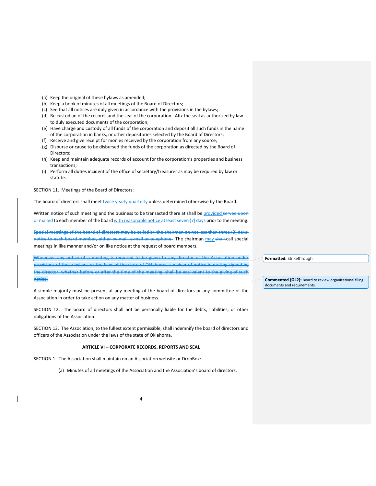- (a) Keep the original of these bylaws as amended;
- (b) Keep a book of minutes of all meetings of the Board of Directors;
- (c) See that all notices are duly given in accordance with the provisions in the bylaws;
- (d) Be custodian of the records and the seal of the corporation. Afix the seal as authorized by law to duly executed documents of the corporation;
- (e) Have charge and custody of all funds of the corporation and deposit all such funds in the name of the corporation in banks, or other depositories selected by the Board of Directors;
- (f) Receive and give receipt for monies received by the corporation from any source;
- (g) Disburse or cause to be disbursed the funds of the corporation as directed by the Board of Directors;
- (h) Keep and maintain adequate records of account for the corporation's properties and business transactions;
- (i) Perform all duties incident of the office of secretary/treasurer as may be required by law or statute.

SECTION 11. Meetings of the Board of Directors:

The board of directors shall meet twice yearly quarterly unless determined otherwise by the Board.

Written notice of such meeting and the business to be transacted there at shall be provided served upon or mailed to each member of the board with reasonable notice at least seven (7) days prior to the meeting.

Special meetings of the board of directors may be called by the chairman on not less than three (3) days' notice to each board member, either by mail, e-mail or telephone. The chairman may shall call special meetings in like manner and/or on like notice at the request of board members.

Whenever any notice of a meeting is required to be given to any director of the Association under provisions of these bylaws or the laws of the state of Oklahoma, a waiver of notice in writing signed by the director, whether before or after the time of the meeting, shall be equivalent to the giving of such notice.

A simple majority must be present at any meeting of the board of directors or any committee of the Association in order to take action on any matter of business.

SECTION 12. The board of directors shall not be personally liable for the debts, liabilities, or other obligations of the Association.

SECTION 13. The Association, to the fullest extent permissible, shall indemnify the board of directors and officers of the Association under the laws of the state of Oklahoma.

#### **ARTICLE VI – CORPORATE RECORDS, REPORTS AND SEAL**

SECTION 1. The Association shall maintain on an Association website or DropBox:

(a) Minutes of all meetings of the Association and the Association's board of directors;

**Formatted:** Strikethrough

**Commented [GL2]:** Board to review organizational filing documents and requirements.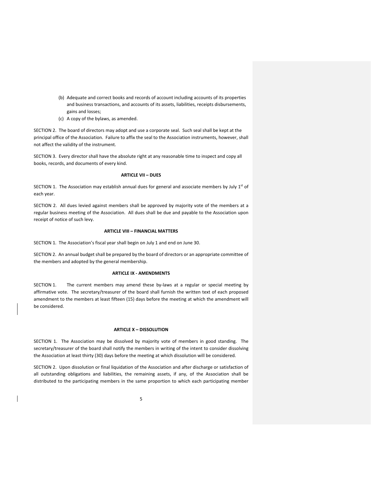- (b) Adequate and correct books and records of account including accounts of its properties and business transactions, and accounts of its assets, liabilities, receipts disbursements, gains and losses;
- (c) A copy of the bylaws, as amended.

SECTION 2. The board of directors may adopt and use a corporate seal. Such seal shall be kept at the principal office of the Association. Failure to affix the seal to the Association instruments, however, shall not affect the validity of the instrument.

SECTION 3. Every director shall have the absolute right at any reasonable time to inspect and copy all books, records, and documents of every kind.

# **ARTICLE VII – DUES**

SECTION 1. The Association may establish annual dues for general and associate members by July  $1<sup>st</sup>$  of each year.

SECTION 2. All dues levied against members shall be approved by majority vote of the members at a regular business meeting of the Association. All dues shall be due and payable to the Association upon receipt of notice of such levy.

#### **ARTICLE VIII – FINANCIAL MATTERS**

SECTION 1. The Association's fiscal year shall begin on July 1 and end on June 30.

SECTION 2. An annual budget shall be prepared by the board of directors or an appropriate committee of the members and adopted by the general membership.

#### **ARTICLE IX ‐ AMENDMENTS**

SECTION 1. The current members may amend these by-laws at a regular or special meeting by affirmative vote. The secretary/treasurer of the board shall furnish the written text of each proposed amendment to the members at least fifteen (15) days before the meeting at which the amendment will be considered.

#### **ARTICLE X – DISSOLUTION**

SECTION 1. The Association may be dissolved by majority vote of members in good standing. The secretary/treasurer of the board shall notify the members in writing of the intent to consider dissolving the Association at least thirty (30) days before the meeting at which dissolution will be considered.

SECTION 2. Upon dissolution or final liquidation of the Association and after discharge or satisfaction of all outstanding obligations and liabilities, the remaining assets, if any, of the Association shall be distributed to the participating members in the same proportion to which each participating member